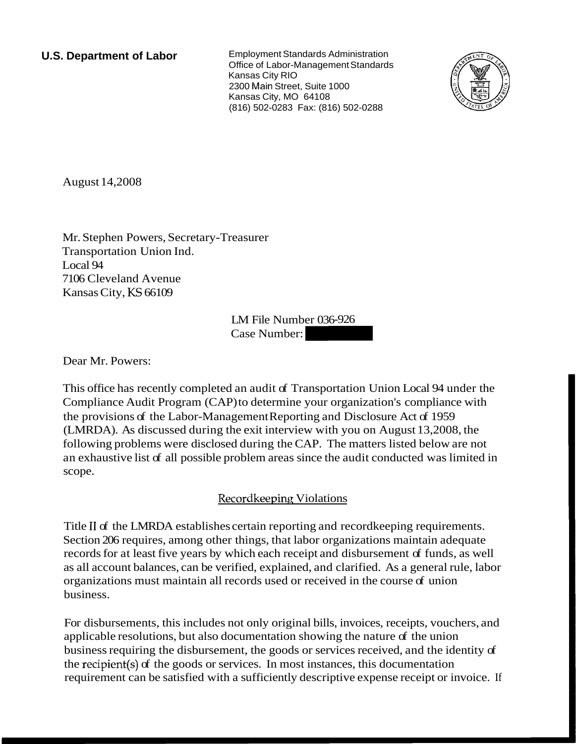**U.S. Department of Labor** Employment Standards Administration Office of Labor-Management Standards Kansas City RIO 2300 Main Street, Suite 1000 Kansas City, MO 64108 (816) 502-0283 Fax: (816) 502-0288



August 14,2008

Mr. Stephen Powers, Secretary-Treasurer Transportation Union Ind. Local 94 7106 Cleveland Avenue Kansas City, KS 66109

LM File Number 036-926 easurer<br>LM File Number 036-926<br>Case Number:

Dear Mr. Powers:

This office has recently completed an audit of Transportation Union Local 94 under the Compliance Audit Program (CAP) to determine your organization's compliance with the provisions of the Labor-Management Reporting and Disclosure Act of 1959 (LMRDA). As discussed during the exit interview with you on August 13,2008, the following problems were disclosed during the CAP. The matters listed below are not an exhaustive list of all possible problem areas since the audit conducted was limited in scope.

## Recordkeeping Violations

Title I1 of the LMRDA establishes certain reporting and recordkeeping requirements. Section 206 requires, among other things, that labor organizations maintain adequate records for at least five years by which each receipt and disbursement of funds, as well as all account balances, can be verified, explained, and clarified. As a general rule, labor organizations must maintain all records used or received in the course of union business.

For disbursements, this includes not only original bills, invoices, receipts, vouchers, and applicable resolutions, but also documentation showing the nature of the union business requiring the disbursement, the goods or services received, and the identity of the recipient(s) of the goods or services. In most instances, this documentation requirement can be satisfied with a sufficiently descriptive expense receipt or invoice. If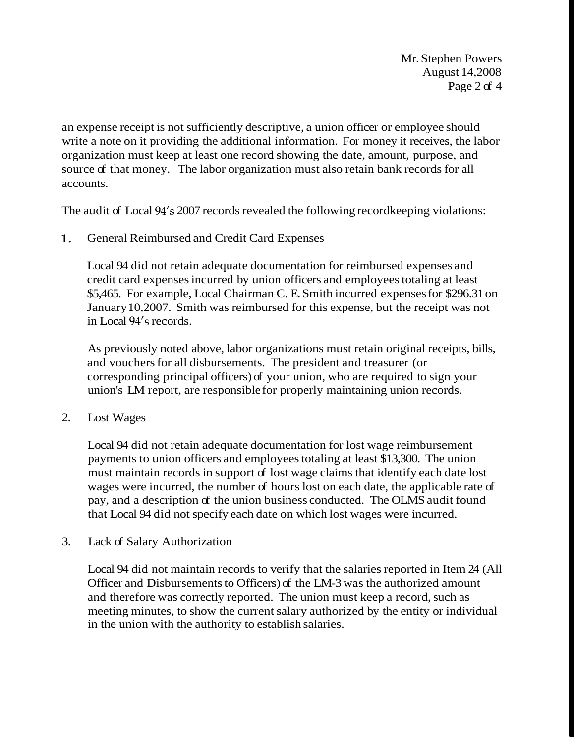Mr. Stephen Powers August 14,2008 Page 2 of 4

an expense receipt is not sufficiently descriptive, a union officer or employee should write a note on it providing the additional information. For money it receives, the labor organization must keep at least one record showing the date, amount, purpose, and source of that money. The labor organization must also retain bank records for all accounts.

The audit of Local 94's 2007 records revealed the following recordkeeping violations:

1. General Reimbursed and Credit Card Expenses

Local 94 did not retain adequate documentation for reimbursed expenses and credit card expenses incurred by union officers and employees totaling at least \$5,465. For example, Local Chairman C. E. Smith incurred expenses for \$296.31 on January 10,2007. Smith was reimbursed for this expense, but the receipt was not in Local 94's records.

As previously noted above, labor organizations must retain original receipts, bills, and vouchers for all disbursements. The president and treasurer (or corresponding principal officers) of your union, who are required to sign your union's LM report, are responsible for properly maintaining union records.

2. Lost Wages

Local 94 did not retain adequate documentation for lost wage reimbursement payments to union officers and employees totaling at least \$13,300. The union must maintain records in support of lost wage claims that identify each date lost wages were incurred, the number of hours lost on each date, the applicable rate of pay, and a description of the union business conducted. The OLMS audit found that Local 94 did not specify each date on which lost wages were incurred.

3. Lack of Salary Authorization

Local 94 did not maintain records to verify that the salaries reported in Item 24 (All Officer and Disbursements to Officers) of the LM-3 was the authorized amount and therefore was correctly reported. The union must keep a record, such as meeting minutes, to show the current salary authorized by the entity or individual in the union with the authority to establish salaries.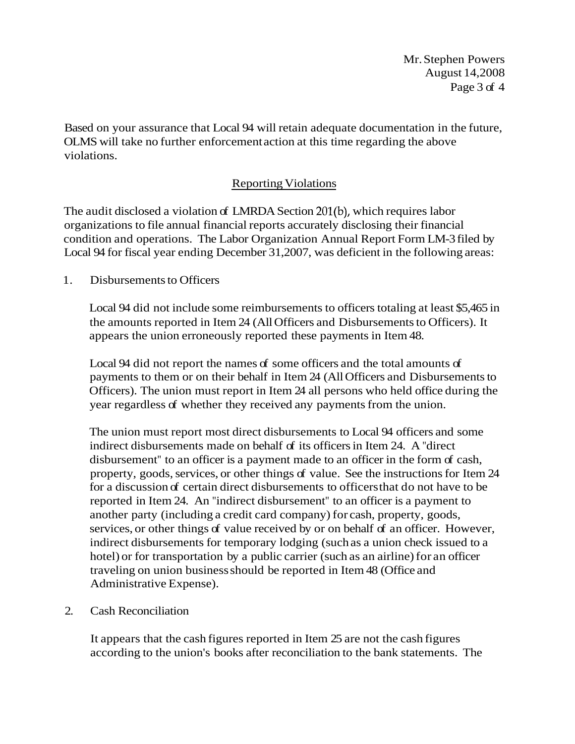Mr. Stephen Powers August 14,2008 Page 3 of 4

Based on your assurance that Local 94 will retain adequate documentation in the future, OLMS will take no further enforcement action at this time regarding the above violations.

## Reporting Violations

The audit disclosed a violation of LMRDA Section 201(b), which requires labor organizations to file annual financial reports accurately disclosing their financial condition and operations. The Labor Organization Annual Report Form LM-3 filed by Local 94 for fiscal year ending December 31,2007, was deficient in the following areas:

1. Disbursements to Officers

Local 94 did not include some reimbursements to officers totaling at least \$5,465 in the amounts reported in Item 24 (All Officers and Disbursements to Officers). It appears the union erroneously reported these payments in Item 48.

Local 94 did not report the names of some officers and the total amounts of payments to them or on their behalf in Item 24 (All Officers and Disbursements to Officers). The union must report in Item 24 all persons who held office during the year regardless of whether they received any payments from the union.

The union must report most direct disbursements to Local 94 officers and some indirect disbursements made on behalf of its officers in Item 24. A "direct disbursement" to an officer is a payment made to an officer in the form of cash, property, goods, services, or other things of value. See the instructions for Item 24 for a discussion of certain direct disbursements to officers that do not have to be reported in Item 24. An "indirect disbursement" to an officer is a payment to another party (including a credit card company) for cash, property, goods, services, or other things of value received by or on behalf of an officer. However, indirect disbursements for temporary lodging (such as a union check issued to a hotel) or for transportation by a public carrier (such as an airline) for an officer traveling on union business should be reported in Item 48 (Office and Administrative Expense).

## 2. Cash Reconciliation

It appears that the cash figures reported in Item 25 are not the cash figures according to the union's books after reconciliation to the bank statements. The